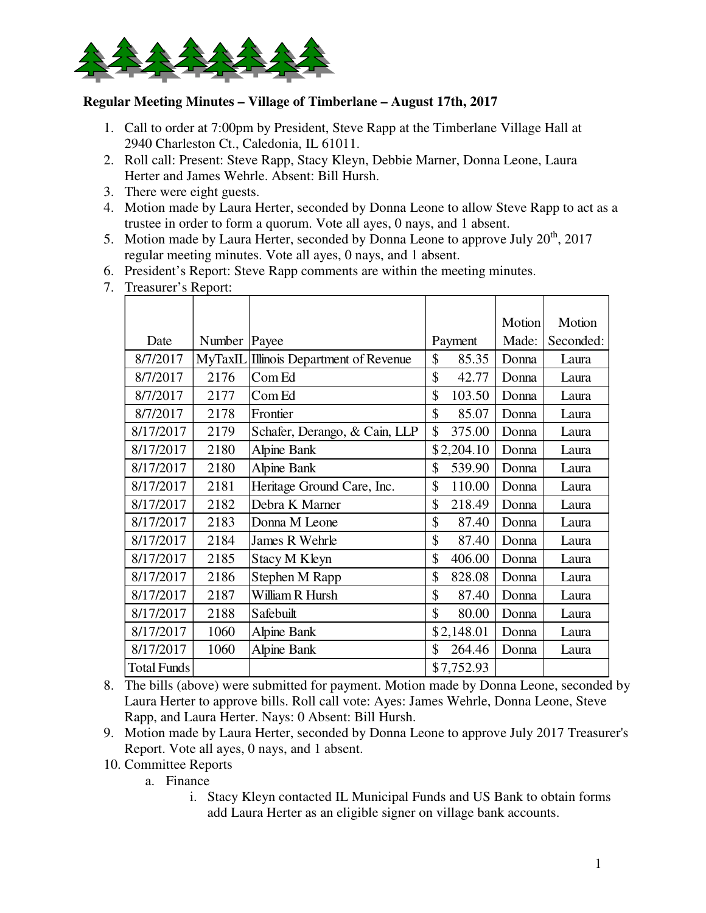

## **Regular Meeting Minutes – Village of Timberlane – August 17th, 2017**

- 1. Call to order at 7:00pm by President, Steve Rapp at the Timberlane Village Hall at 2940 Charleston Ct., Caledonia, IL 61011.
- 2. Roll call: Present: Steve Rapp, Stacy Kleyn, Debbie Marner, Donna Leone, Laura Herter and James Wehrle. Absent: Bill Hursh.
- 3. There were eight guests.
- 4. Motion made by Laura Herter, seconded by Donna Leone to allow Steve Rapp to act as a trustee in order to form a quorum. Vote all ayes, 0 nays, and 1 absent.
- 5. Motion made by Laura Herter, seconded by Donna Leone to approve July  $20^{th}$ ,  $2017$ regular meeting minutes. Vote all ayes, 0 nays, and 1 absent.
- 6. President's Report: Steve Rapp comments are within the meeting minutes.
- 7. Treasurer's Report:

|             |        |                                        |              | Motion | Motion    |
|-------------|--------|----------------------------------------|--------------|--------|-----------|
| Date        | Number | Payee                                  | Payment      | Made:  | Seconded: |
| 8/7/2017    |        | MyTaxIL Illinois Department of Revenue | \$<br>85.35  | Donna  | Laura     |
| 8/7/2017    | 2176   | Com Ed                                 | \$<br>42.77  | Donna  | Laura     |
| 8/7/2017    | 2177   | Com Ed                                 | \$<br>103.50 | Donna  | Laura     |
| 8/7/2017    | 2178   | Frontier                               | \$<br>85.07  | Donna  | Laura     |
| 8/17/2017   | 2179   | Schafer, Derango, & Cain, LLP          | \$<br>375.00 | Donna  | Laura     |
| 8/17/2017   | 2180   | Alpine Bank                            | \$2,204.10   | Donna  | Laura     |
| 8/17/2017   | 2180   | Alpine Bank                            | \$<br>539.90 | Donna  | Laura     |
| 8/17/2017   | 2181   | Heritage Ground Care, Inc.             | \$<br>110.00 | Donna  | Laura     |
| 8/17/2017   | 2182   | Debra K Marner                         | \$<br>218.49 | Donna  | Laura     |
| 8/17/2017   | 2183   | Donna M Leone                          | \$<br>87.40  | Donna  | Laura     |
| 8/17/2017   | 2184   | James R Wehrle                         | \$<br>87.40  | Donna  | Laura     |
| 8/17/2017   | 2185   | Stacy M Kleyn                          | \$<br>406.00 | Donna  | Laura     |
| 8/17/2017   | 2186   | Stephen M Rapp                         | \$<br>828.08 | Donna  | Laura     |
| 8/17/2017   | 2187   | William R Hursh                        | \$<br>87.40  | Donna  | Laura     |
| 8/17/2017   | 2188   | Safebuilt                              | \$<br>80.00  | Donna  | Laura     |
| 8/17/2017   | 1060   | <b>Alpine Bank</b>                     | \$2,148.01   | Donna  | Laura     |
| 8/17/2017   | 1060   | Alpine Bank                            | \$<br>264.46 | Donna  | Laura     |
| Total Funds |        |                                        | \$7,752.93   |        |           |

8. The bills (above) were submitted for payment. Motion made by Donna Leone, seconded by Laura Herter to approve bills. Roll call vote: Ayes: James Wehrle, Donna Leone, Steve Rapp, and Laura Herter. Nays: 0 Absent: Bill Hursh.

- 9. Motion made by Laura Herter, seconded by Donna Leone to approve July 2017 Treasurer's Report. Vote all ayes, 0 nays, and 1 absent.
- 10. Committee Reports
	- a. Finance
		- i. Stacy Kleyn contacted IL Municipal Funds and US Bank to obtain forms add Laura Herter as an eligible signer on village bank accounts.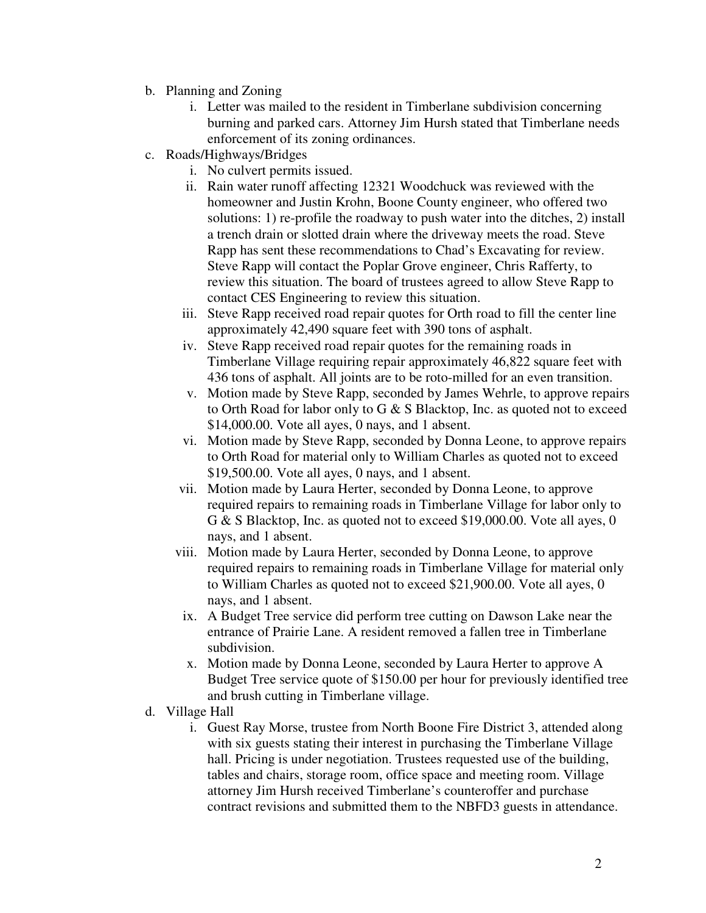- b. Planning and Zoning
	- i. Letter was mailed to the resident in Timberlane subdivision concerning burning and parked cars. Attorney Jim Hursh stated that Timberlane needs enforcement of its zoning ordinances.
- c. Roads/Highways/Bridges
	- i. No culvert permits issued.
	- ii. Rain water runoff affecting 12321 Woodchuck was reviewed with the homeowner and Justin Krohn, Boone County engineer, who offered two solutions: 1) re-profile the roadway to push water into the ditches, 2) install a trench drain or slotted drain where the driveway meets the road. Steve Rapp has sent these recommendations to Chad's Excavating for review. Steve Rapp will contact the Poplar Grove engineer, Chris Rafferty, to review this situation. The board of trustees agreed to allow Steve Rapp to contact CES Engineering to review this situation.
	- iii. Steve Rapp received road repair quotes for Orth road to fill the center line approximately 42,490 square feet with 390 tons of asphalt.
	- iv. Steve Rapp received road repair quotes for the remaining roads in Timberlane Village requiring repair approximately 46,822 square feet with 436 tons of asphalt. All joints are to be roto-milled for an even transition.
	- v. Motion made by Steve Rapp, seconded by James Wehrle, to approve repairs to Orth Road for labor only to G & S Blacktop, Inc. as quoted not to exceed \$14,000.00. Vote all ayes, 0 nays, and 1 absent.
	- vi. Motion made by Steve Rapp, seconded by Donna Leone, to approve repairs to Orth Road for material only to William Charles as quoted not to exceed \$19,500.00. Vote all ayes, 0 nays, and 1 absent.
	- vii. Motion made by Laura Herter, seconded by Donna Leone, to approve required repairs to remaining roads in Timberlane Village for labor only to G & S Blacktop, Inc. as quoted not to exceed \$19,000.00. Vote all ayes, 0 nays, and 1 absent.
	- viii. Motion made by Laura Herter, seconded by Donna Leone, to approve required repairs to remaining roads in Timberlane Village for material only to William Charles as quoted not to exceed \$21,900.00. Vote all ayes, 0 nays, and 1 absent.
		- ix. A Budget Tree service did perform tree cutting on Dawson Lake near the entrance of Prairie Lane. A resident removed a fallen tree in Timberlane subdivision.
		- x. Motion made by Donna Leone, seconded by Laura Herter to approve A Budget Tree service quote of \$150.00 per hour for previously identified tree and brush cutting in Timberlane village.
- d. Village Hall
	- i. Guest Ray Morse, trustee from North Boone Fire District 3, attended along with six guests stating their interest in purchasing the Timberlane Village hall. Pricing is under negotiation. Trustees requested use of the building, tables and chairs, storage room, office space and meeting room. Village attorney Jim Hursh received Timberlane's counteroffer and purchase contract revisions and submitted them to the NBFD3 guests in attendance.